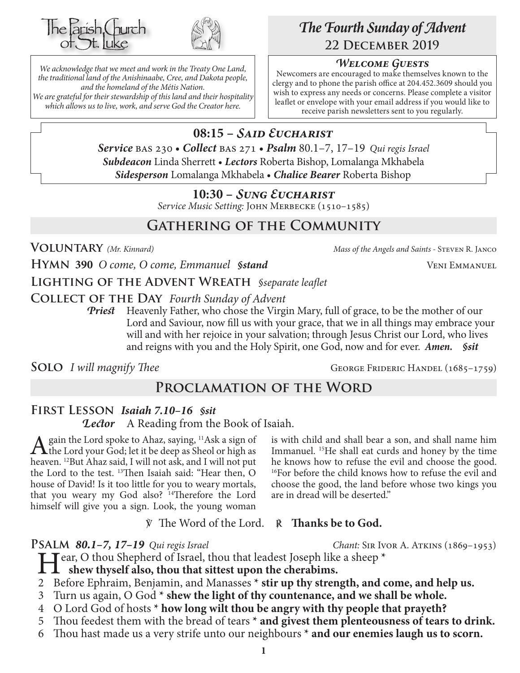



*We acknowledge that we meet and work in the Treaty One Land, the traditional land of the Anishinaabe, Cree, and Dakota people, and the homeland of the Métis Nation. We are grateful for their stewardship of this land and their hospitality which allows us to live, work, and serve God the Creator here.*

# *The Fourth Sunday of Advent* **22 December 2019**

## *Welcome Guests*

Newcomers are encouraged to make themselves known to the clergy and to phone the parish office at 204.452.3609 should you wish to express any needs or concerns. Please complete a visitor leaflet or envelope with your email address if you would like to receive parish newsletters sent to you regularly.

# **08:15 –** *Said Eucharist*

*Service* bas 230 • *Collect* bas 271 • *Psalm* 80.1–7, 17–19 *Qui regis Israel Subdeacon* Linda Sherrett • *Lectors* Roberta Bishop, Lomalanga Mkhabela *Sidesperson* Lomalanga Mkhabela • *Chalice Bearer* Roberta Bishop

## **10:30 –** *Sung Eucharist*

*Service Music Setting:* John Merbecke (1510–1585)

# **Gathering of the Community**

**Voluntary** *(Mr. Kinnard) Mass of the Angels and Saints -* Steven R. Janco

**Hymn 390** *O come, O come, Emmanuel §stand* Veni Emmanuel

**Lighting of the Advent Wreath** *§separate leaflet*

**Collect of the Day** *Fourth Sunday of Advent*

*Priest* Heavenly Father, who chose the Virgin Mary, full of grace, to be the mother of our Lord and Saviour, now fill us with your grace, that we in all things may embrace your will and with her rejoice in your salvation; through Jesus Christ our Lord, who lives and reigns with you and the Holy Spirit, one God, now and for ever.*Amen. §sit*

**SOLO** *I will magnify Thee* GEORGE FRIDERIC HANDEL (1685-1759)

# **Proclamation of the Word**

## **First Lesson** *Isaiah 7.10–16 §sit Lector* A Reading from the Book of Isaiah.

A gain the Lord spoke to Ahaz, saying,  $^{11}$ Ask a sign of<br>the Lord your God; let it be deep as Sheol or high as<br>harves  $^{12}$ Put Aber said Javill not sek, and Javill not put heaven. 12But Ahaz said, I will not ask, and I will not put the Lord to the test. 13Then Isaiah said: "Hear then, O house of David! Is it too little for you to weary mortals, that you weary my God also? 14Therefore the Lord himself will give you a sign. Look, the young woman

is with child and shall bear a son, and shall name him Immanuel. 15He shall eat curds and honey by the time he knows how to refuse the evil and choose the good. <sup>16</sup>For before the child knows how to refuse the evil and choose the good, the land before whose two kings you are in dread will be deserted."

℣ The Word of the Lord. ℟ **Thanks be to God.**

**Psalm** *80.1–7, 17–19 Qui regis Israel Chant:* Sir Ivor A. Atkins (1869–1953)

Hear, O thou Shepherd of Israel, thou that leadest Joseph like a sheep **\***

**shew thyself also, thou that sittest upon the cherabims.**

- 2 Before Ephraim, Benjamin, and Manasses **\* stir up thy strength, and come, and help us.**
- 3 Turn us again, O God **\* shew the light of thy countenance, and we shall be whole.**
- 4 O Lord God of hosts **\* how long wilt thou be angry with thy people that prayeth?**
- 5 Thou feedest them with the bread of tears **\* and givest them plenteousness of tears to drink.**
- 6 Thou hast made us a very strife unto our neighbours **\* and our enemies laugh us to scorn.**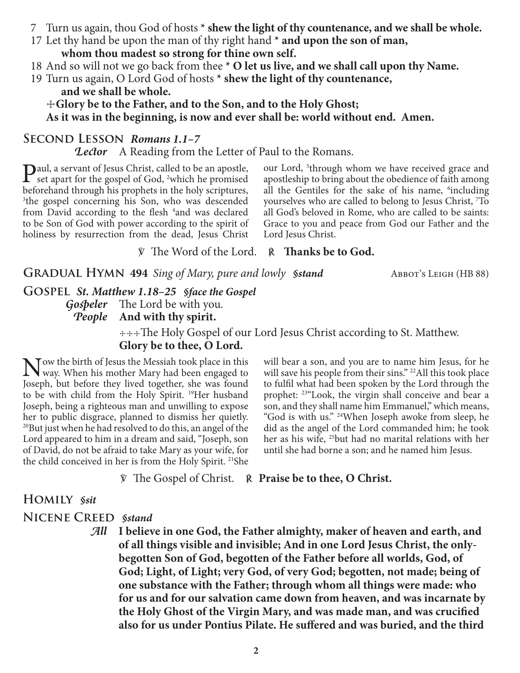- 7 Turn us again, thou God of hosts **\* shew the light of thy countenance, and we shall be whole.**
- 17 Let thy hand be upon the man of thy right hand **\* and upon the son of man,**
	- **whom thou madest so strong for thine own self.**
- 18 And so will not we go back from thee **\* O let us live, and we shall call upon thy Name.**
- 19 Turn us again, O Lord God of hosts **\* shew the light of thy countenance, and we shall be whole.**

☩**Glory be to the Father, and to the Son, and to the Holy Ghost; As it was in the beginning, is now and ever shall be: world without end. Amen.**

#### **Second Lesson** *Romans 1.1–7*

*Lector* A Reading from the Letter of Paul to the Romans.

Paul, a servant of Jesus Christ, called to be an apostle, set apart for the gospel of God, 2 which he promised beforehand through his prophets in the holy scriptures, 3 the gospel concerning his Son, who was descended from David according to the flesh <sup>4</sup>and was declared to be Son of God with power according to the spirit of holiness by resurrection from the dead, Jesus Christ

our Lord, <sup>5</sup>through whom we have received grace and apostleship to bring about the obedience of faith among all the Gentiles for the sake of his name, <sup>6</sup>including yourselves who are called to belong to Jesus Christ, 7 To all God's beloved in Rome, who are called to be saints: Grace to you and peace from God our Father and the Lord Jesus Christ.

℣ The Word of the Lord. ℟ **Thanks be to God.**

**GRADUAL HYMN 494** *Sing of Mary, pure and lowly Sstand* ABBOT's LEIGH (HB 88)

**Gospel** *St. Matthew 1.18–25 §face the Gospel Gospeler* The Lord be with you. *People* **And with thy spirit.**

> ☩☩☩The Holy Gospel of our Lord Jesus Christ according to St. Matthew. **Glory be to thee, O Lord.**

Now the birth of Jesus the Messiah took place in this<br>Wway. When his mother Mary had been engaged to<br>Jesseth hy hefore thay lived together she was found Joseph, but before they lived together, she was found to be with child from the Holy Spirit. 19Her husband Joseph, being a righteous man and unwilling to expose her to public disgrace, planned to dismiss her quietly. 20But just when he had resolved to do this, an angel of the Lord appeared to him in a dream and said, "Joseph, son of David, do not be afraid to take Mary as your wife, for the child conceived in her is from the Holy Spirit. <sup>21</sup>She

will bear a son, and you are to name him Jesus, for he will save his people from their sins." <sup>22</sup>All this took place to fulfil what had been spoken by the Lord through the prophet: 23"Look, the virgin shall conceive and bear a son, and they shall name him Emmanuel," which means, "God is with us." 24When Joseph awoke from sleep, he did as the angel of the Lord commanded him; he took her as his wife, <sup>25</sup>but had no marital relations with her until she had borne a son; and he named him Jesus.

℣ The Gospel of Christ. ℟ **Praise be to thee, O Christ.**

#### **Homily** *§sit*

**Nicene Creed** *§stand*

*All* **I believe in one God, the Father almighty, maker of heaven and earth, and of all things visible and invisible; And in one Lord Jesus Christ, the onlybegotten Son of God, begotten of the Father before all worlds, God, of God; Light, of Light; very God, of very God; begotten, not made; being of one substance with the Father; through whom all things were made: who for us and for our salvation came down from heaven, and was incarnate by the Holy Ghost of the Virgin Mary, and was made man, and was crucified also for us under Pontius Pilate. He suffered and was buried, and the third**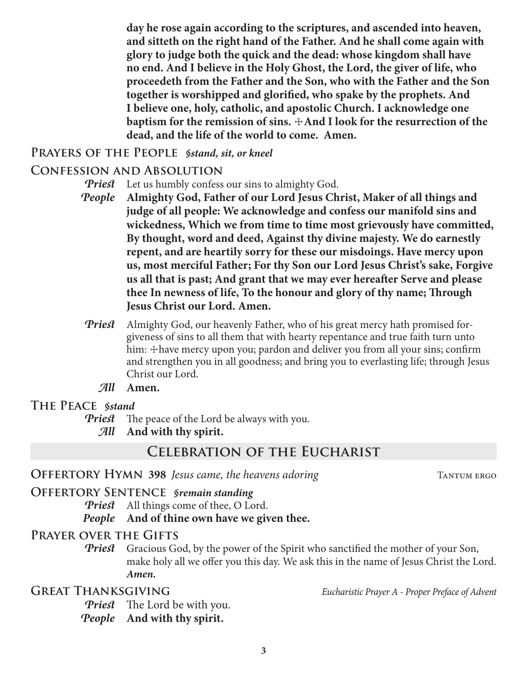**day he rose again according to the scriptures, and ascended into heaven, and sitteth on the right hand of the Father. And he shall come again with glory to judge both the quick and the dead: whose kingdom shall have no end. And I believe in the Holy Ghost, the Lord, the giver of life, who proceedeth from the Father and the Son, who with the Father and the Son together is worshipped and glorified, who spake by the prophets. And I believe one, holy, catholic, and apostolic Church. I acknowledge one baptism for the remission of sins.**  $\pm$ **And I look for the resurrection of the dead, and the life of the world to come. Amen.**

## **Prayers of the People** *§stand, sit, or kneel*

## **Confession and Absolution**

- *Priest* Let us humbly confess our sins to almighty God.
- *People* **Almighty God, Father of our Lord Jesus Christ, Maker of all things and judge of all people: We acknowledge and confess our manifold sins and wickedness, Which we from time to time most grievously have committed, By thought, word and deed, Against thy divine majesty. We do earnestly repent, and are heartily sorry for these our misdoings. Have mercy upon us, most merciful Father; For thy Son our Lord Jesus Christ's sake, Forgive us all that is past; And grant that we may ever hereafter Serve and please thee In newness of life, To the honour and glory of thy name; Through Jesus Christ our Lord. Amen.**
- *Priest* Almighty God, our heavenly Father, who of his great mercy hath promised forgiveness of sins to all them that with hearty repentance and true faith turn unto him:  $\pm$  have mercy upon you; pardon and deliver you from all your sins; confirm and strengthen you in all goodness; and bring you to everlasting life; through Jesus Christ our Lord.
	- *All* **Amen.**

## **The Peace** *§stand*

*Priest* The peace of the Lord be always with you. *All* **And with thy spirit.**

# **Celebration of the Eucharist**

## **OFFERTORY HYMN 398** *Jesus came, the heavens adoring* TANTUM ERGO

## **Offertory Sentence** *§remain standing*

*Priest* All things come of thee, O Lord.

*People* **And of thine own have we given thee.**

## **Prayer over the Gifts**

*Priest* Gracious God, by the power of the Spirit who sanctified the mother of your Son, make holy all we offer you this day. We ask this in the name of Jesus Christ the Lord. *Amen.*

**Great Thanksgiving** *Eucharistic Prayer A - Proper Preface of Advent*

*Priest* The Lord be with you.

*People* **And with thy spirit.**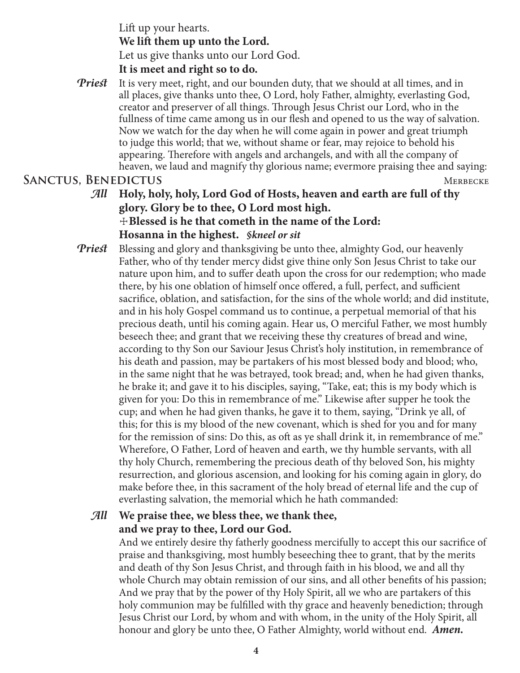Lift up your hearts. **We lift them up unto the Lord.** Let us give thanks unto our Lord God.

## **It is meet and right so to do.**

*Priest* It is very meet, right, and our bounden duty, that we should at all times, and in all places, give thanks unto thee, O Lord, holy Father, almighty, everlasting God, creator and preserver of all things. Through Jesus Christ our Lord, who in the fullness of time came among us in our flesh and opened to us the way of salvation. Now we watch for the day when he will come again in power and great triumph to judge this world; that we, without shame or fear, may rejoice to behold his appearing. Therefore with angels and archangels, and with all the company of heaven, we laud and magnify thy glorious name; evermore praising thee and saying: **SANCTUS, BENEDICTUS** MERBECKE

- *All* **Holy, holy, holy, Lord God of Hosts, heaven and earth are full of thy glory. Glory be to thee, O Lord most high.** ☩**Blessed is he that cometh in the name of the Lord: Hosanna in the highest.** *§kneel or sit*
- *Priest* Blessing and glory and thanksgiving be unto thee, almighty God, our heavenly Father, who of thy tender mercy didst give thine only Son Jesus Christ to take our nature upon him, and to suffer death upon the cross for our redemption; who made there, by his one oblation of himself once offered, a full, perfect, and sufficient sacrifice, oblation, and satisfaction, for the sins of the whole world; and did institute, and in his holy Gospel command us to continue, a perpetual memorial of that his precious death, until his coming again. Hear us, O merciful Father, we most humbly beseech thee; and grant that we receiving these thy creatures of bread and wine, according to thy Son our Saviour Jesus Christ's holy institution, in remembrance of his death and passion, may be partakers of his most blessed body and blood; who, in the same night that he was betrayed, took bread; and, when he had given thanks, he brake it; and gave it to his disciples, saying, "Take, eat; this is my body which is given for you: Do this in remembrance of me." Likewise after supper he took the cup; and when he had given thanks, he gave it to them, saying, "Drink ye all, of this; for this is my blood of the new covenant, which is shed for you and for many for the remission of sins: Do this, as oft as ye shall drink it, in remembrance of me." Wherefore, O Father, Lord of heaven and earth, we thy humble servants, with all thy holy Church, remembering the precious death of thy beloved Son, his mighty resurrection, and glorious ascension, and looking for his coming again in glory, do make before thee, in this sacrament of the holy bread of eternal life and the cup of everlasting salvation, the memorial which he hath commanded:

## *All* **We praise thee, we bless thee, we thank thee, and we pray to thee, Lord our God.**

 And we entirely desire thy fatherly goodness mercifully to accept this our sacrifice of praise and thanksgiving, most humbly beseeching thee to grant, that by the merits and death of thy Son Jesus Christ, and through faith in his blood, we and all thy whole Church may obtain remission of our sins, and all other benefits of his passion; And we pray that by the power of thy Holy Spirit, all we who are partakers of this holy communion may be fulfilled with thy grace and heavenly benediction; through Jesus Christ our Lord, by whom and with whom, in the unity of the Holy Spirit, all honour and glory be unto thee, O Father Almighty, world without end. *Amen.*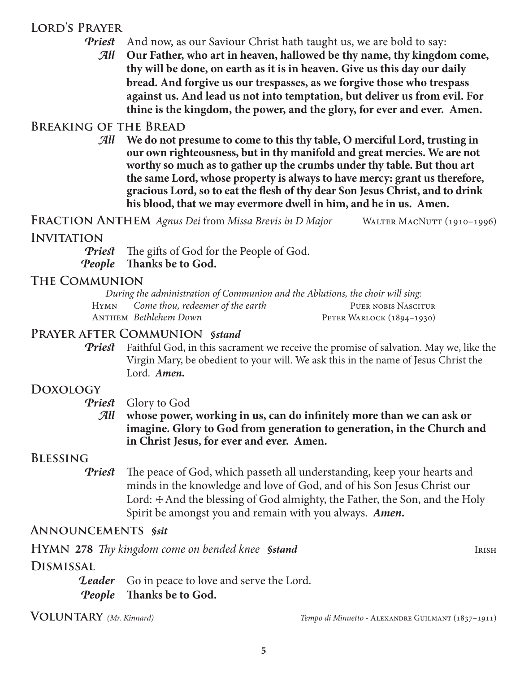## **Lord's Prayer**

- *Priest* And now, as our Saviour Christ hath taught us, we are bold to say:
	- *All* **Our Father, who art in heaven, hallowed be thy name, thy kingdom come, thy will be done, on earth as it is in heaven. Give us this day our daily bread. And forgive us our trespasses, as we forgive those who trespass against us. And lead us not into temptation, but deliver us from evil. For thine is the kingdom, the power, and the glory, for ever and ever. Amen.**

## **Breaking of the Bread**

*All* **We do not presume to come to this thy table, O merciful Lord, trusting in our own righteousness, but in thy manifold and great mercies. We are not worthy so much as to gather up the crumbs under thy table. But thou art the same Lord, whose property is always to have mercy: grant us therefore, gracious Lord, so to eat the flesh of thy dear Son Jesus Christ, and to drink his blood, that we may evermore dwell in him, and he in us. Amen.**

**Fraction Anthem** *Agnus Dei* from *Missa Brevis in D Major* Walter MacNutt (1910–1996)

#### **Invitation**

*Priest* The gifts of God for the People of God. *People* **Thanks be to God.**

# **The Communion**

*During the administration of Communion and the Ablutions, the choir will sing:* HYMN *Come thou, redeemer of the earth* PUER NOBIS NASCITUR Anthem *Bethlehem Down* Peter Warlock (1894–1930)

## **Prayer after Communion** *§stand*

*Priest* Faithful God, in this sacrament we receive the promise of salvation. May we, like the Virgin Mary, be obedient to your will. We ask this in the name of Jesus Christ the Lord. *Amen.*

## **Doxology**

*Priest* Glory to God

*All* **whose power, working in us, can do infinitely more than we can ask or imagine. Glory to God from generation to generation, in the Church and in Christ Jesus, for ever and ever. Amen.**

## **Blessing**

*Priest* The peace of God, which passeth all understanding, keep your hearts and minds in the knowledge and love of God, and of his Son Jesus Christ our Lord:  $\pm$ And the blessing of God almighty, the Father, the Son, and the Holy Spirit be amongst you and remain with you always. *Amen.*

## **Announcements** *§sit*

**HYMN** 278 *Thy kingdom come on bended knee §stand* IRISH

## **Dismissal**

**Leader** Go in peace to love and serve the Lord. *People* **Thanks be to God.**

**Voluntary** *(Mr. Kinnard) Tempo di Minuetto -* Alexandre Guilmant (1837–1911)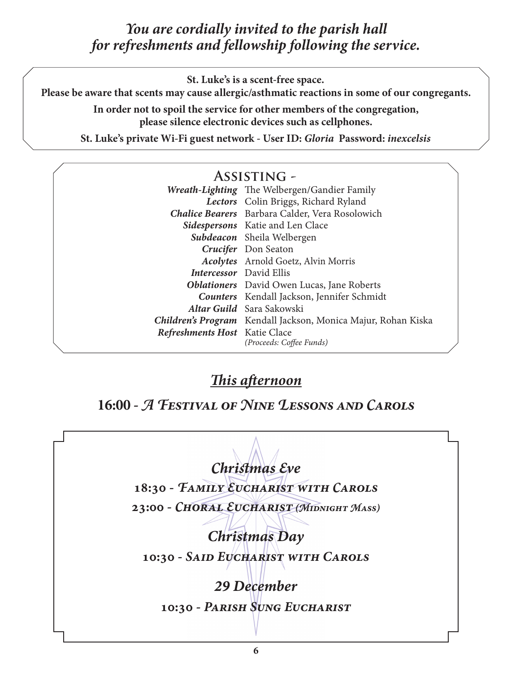# *You are cordially invited to the parish hall for refreshments and fellowship following the service.*

**St. Luke's is a scent-free space.**

**Please be aware that scents may cause allergic/asthmatic reactions in some of our congregants.**

**In order not to spoil the service for other members of the congregation, please silence electronic devices such as cellphones.**

**St. Luke's private Wi-Fi guest network - User ID:** *Gloria* **Password:** *inexcelsis*

# **Assisting -**

|                                | Wreath-Lighting The Welbergen/Gandier Family                  |
|--------------------------------|---------------------------------------------------------------|
|                                | Lectors Colin Briggs, Richard Ryland                          |
|                                | Chalice Bearers Barbara Calder, Vera Rosolowich               |
|                                | <b>Sidespersons</b> Katie and Len Clace                       |
|                                | Subdeacon Sheila Welbergen                                    |
|                                | Crucifer Don Seaton                                           |
|                                | <b>Acolytes</b> Arnold Goetz, Alvin Morris                    |
| <b>Intercessor</b> David Ellis |                                                               |
|                                | <b>Oblationers</b> David Owen Lucas, Jane Roberts             |
|                                | <b>Counters</b> Kendall Jackson, Jennifer Schmidt             |
|                                | <b>Altar Guild</b> Sara Sakowski                              |
|                                | Children's Program Kendall Jackson, Monica Majur, Rohan Kiska |
| Refreshments Host Katie Clace  | (Proceeds: Coffee Funds)                                      |

# *This afternoon*

**16:00 -** *A Festival of Nine Lessons and Carols*

*Christmas Eve* **18:30 -** *Family Eucharist with Carols* **23:00 -** *Choral Eucharist (Midnight Mass) Christmas Day* **10:30 -** *Said Eucharist with Carols 29 December* **10:30 -** *Parish Sung Eucharist*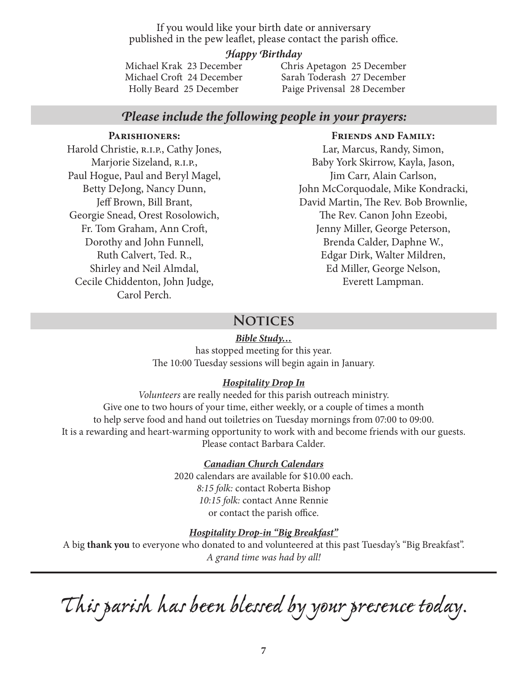If you would like your birth date or anniversary published in the pew leaflet, please contact the parish office.

#### *Happy Birthday*

Michael Krak 23 December Michael Croft 24 December Holly Beard 25 December

Chris Apetagon 25 December Sarah Toderash 27 December Paige Privensal 28 December

## *Please include the following people in your prayers:*

#### **Parishioners:**

Harold Christie, R.I.P., Cathy Jones, Marjorie Sizeland, R.I.P., Paul Hogue, Paul and Beryl Magel, Betty DeJong, Nancy Dunn, Jeff Brown, Bill Brant, Georgie Snead, Orest Rosolowich, Fr. Tom Graham, Ann Croft, Dorothy and John Funnell, Ruth Calvert, Ted. R., Shirley and Neil Almdal, Cecile Chiddenton, John Judge, Carol Perch.

#### **Friends and Family:**

Lar, Marcus, Randy, Simon, Baby York Skirrow, Kayla, Jason, Jim Carr, Alain Carlson, John McCorquodale, Mike Kondracki, David Martin, The Rev. Bob Brownlie, The Rev. Canon John Ezeobi, Jenny Miller, George Peterson, Brenda Calder, Daphne W., Edgar Dirk, Walter Mildren, Ed Miller, George Nelson, Everett Lampman.

## **Notices**

#### *Bible Study…*

has stopped meeting for this year. The 10:00 Tuesday sessions will begin again in January.

#### *Hospitality Drop In*

*Volunteers* are really needed for this parish outreach ministry. Give one to two hours of your time, either weekly, or a couple of times a month to help serve food and hand out toiletries on Tuesday mornings from 07:00 to 09:00. It is a rewarding and heart-warming opportunity to work with and become friends with our guests. Please contact Barbara Calder.

#### *Canadian Church Calendars*

2020 calendars are available for \$10.00 each. *8:15 folk:* contact Roberta Bishop *10:15 folk:* contact Anne Rennie or contact the parish office.

#### *Hospitality Drop-in "Big Breakfast"*

A big **thank you** to everyone who donated to and volunteered at this past Tuesday's "Big Breakfast". *A grand time was had by all!*

*This parish has been blessed by your presence today.*